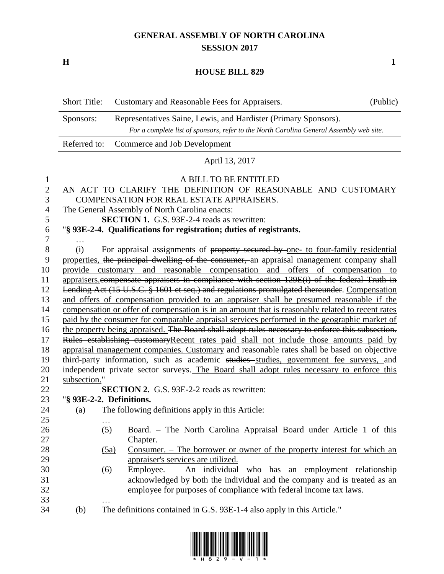## **GENERAL ASSEMBLY OF NORTH CAROLINA SESSION 2017**

**H 1**

## **HOUSE BILL 829**

| <b>Short Title:</b> | Customary and Reasonable Fees for Appraisers.                                                                                                              | (Public) |
|---------------------|------------------------------------------------------------------------------------------------------------------------------------------------------------|----------|
| Sponsors:           | Representatives Saine, Lewis, and Hardister (Primary Sponsors).<br>For a complete list of sponsors, refer to the North Carolina General Assembly web site. |          |
|                     | Referred to: Commerce and Job Development                                                                                                                  |          |
|                     | April 13, 2017                                                                                                                                             |          |
|                     | A BILL TO BE ENTITLED                                                                                                                                      |          |

| $\mathbf{r}$   |                                                                                                 | A DILL TO DE ENTITEED                                                                            |  |
|----------------|-------------------------------------------------------------------------------------------------|--------------------------------------------------------------------------------------------------|--|
| $\overline{2}$ |                                                                                                 | AN ACT TO CLARIFY THE DEFINITION OF REASONABLE AND CUSTOMARY                                     |  |
| 3              |                                                                                                 | COMPENSATION FOR REAL ESTATE APPRAISERS.                                                         |  |
| $\overline{4}$ |                                                                                                 | The General Assembly of North Carolina enacts:                                                   |  |
| 5              |                                                                                                 | <b>SECTION 1.</b> G.S. 93E-2-4 reads as rewritten:                                               |  |
| 6              |                                                                                                 | "§ 93E-2-4. Qualifications for registration; duties of registrants.                              |  |
| $\tau$         |                                                                                                 |                                                                                                  |  |
| $8\,$          | (i)                                                                                             | For appraisal assignments of property secured by one- to four-family residential                 |  |
| 9              |                                                                                                 | properties, the principal dwelling of the consumer, an appraisal management company shall        |  |
| 10             |                                                                                                 | provide customary and reasonable compensation and offers of compensation to                      |  |
| 11             |                                                                                                 | appraisers.compensate appraisers in compliance with section 129E(i) of the federal Truth in      |  |
| 12             |                                                                                                 | Lending Act (15 U.S.C. § 1601 et seq.) and regulations promulgated thereunder. Compensation      |  |
| 13             |                                                                                                 | and offers of compensation provided to an appraiser shall be presumed reasonable if the          |  |
| 14             |                                                                                                 | compensation or offer of compensation is in an amount that is reasonably related to recent rates |  |
| 15             |                                                                                                 | paid by the consumer for comparable appraisal services performed in the geographic market of     |  |
| 16             | the property being appraised. The Board shall adopt rules necessary to enforce this subsection. |                                                                                                  |  |
| 17             | Rules establishing customaryRecent rates paid shall not include those amounts paid by           |                                                                                                  |  |
| 18             | appraisal management companies. Customary and reasonable rates shall be based on objective      |                                                                                                  |  |
| 19             | third-party information, such as academic studies studies, government fee surveys, and          |                                                                                                  |  |
| 20             |                                                                                                 | independent private sector surveys. The Board shall adopt rules necessary to enforce this        |  |
| 21             | subsection."                                                                                    |                                                                                                  |  |
| 22             |                                                                                                 | <b>SECTION 2.</b> G.S. 93E-2-2 reads as rewritten:<br>"§ 93E-2-2. Definitions.                   |  |
| 23             |                                                                                                 |                                                                                                  |  |
| 24             | (a)                                                                                             | The following definitions apply in this Article:                                                 |  |
| 25<br>26       |                                                                                                 | Board. - The North Carolina Appraisal Board under Article 1 of this<br>(5)                       |  |
| 27             |                                                                                                 | Chapter.                                                                                         |  |
| 28             |                                                                                                 | Consumer. – The borrower or owner of the property interest for which an<br>(5a)                  |  |
| 29             |                                                                                                 | appraiser's services are utilized.                                                               |  |
| 30             |                                                                                                 | Employee. - An individual who has an employment relationship<br>(6)                              |  |
| 31             |                                                                                                 | acknowledged by both the individual and the company and is treated as an                         |  |
| 32             |                                                                                                 | employee for purposes of compliance with federal income tax laws.                                |  |
| 33             |                                                                                                 |                                                                                                  |  |
| 34             | (b)                                                                                             | The definitions contained in G.S. 93E-1-4 also apply in this Article."                           |  |
|                |                                                                                                 |                                                                                                  |  |